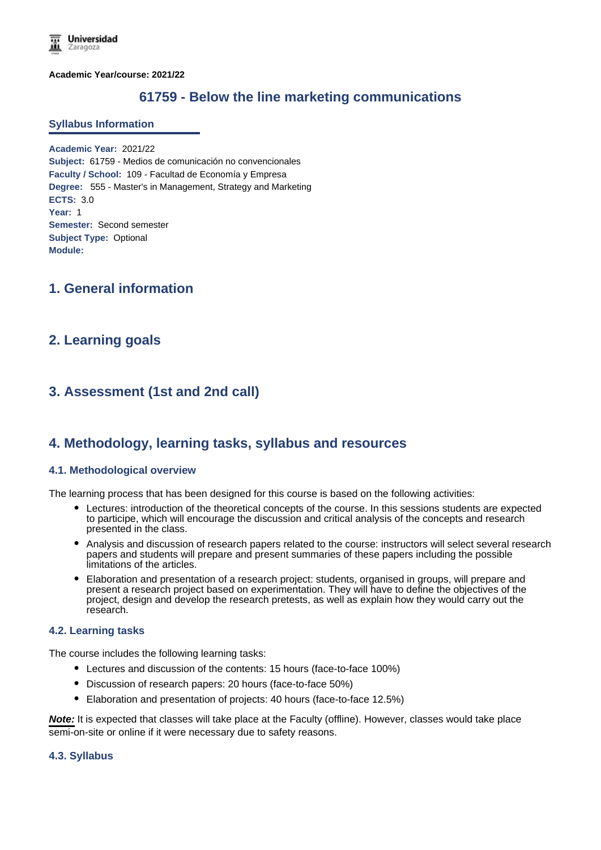**Academic Year/course: 2021/22**

# **61759 - Below the line marketing communications**

#### **Syllabus Information**

**Academic Year:** 2021/22 **Subject:** 61759 - Medios de comunicación no convencionales **Faculty / School:** 109 - Facultad de Economía y Empresa **Degree:** 555 - Master's in Management, Strategy and Marketing **ECTS:** 3.0 **Year:** 1 **Semester:** Second semester **Subject Type:** Optional **Module:**

## **1. General information**

## **2. Learning goals**

# **3. Assessment (1st and 2nd call)**

## **4. Methodology, learning tasks, syllabus and resources**

### **4.1. Methodological overview**

The learning process that has been designed for this course is based on the following activities:

- Lectures: introduction of the theoretical concepts of the course. In this sessions students are expected to participe, which will encourage the discussion and critical analysis of the concepts and research presented in the class.
- Analysis and discussion of research papers related to the course: instructors will select several research papers and students will prepare and present summaries of these papers including the possible limitations of the articles.
- Elaboration and presentation of a research project: students, organised in groups, will prepare and present a research project based on experimentation. They will have to define the objectives of the project, design and develop the research pretests, as well as explain how they would carry out the research.

#### **4.2. Learning tasks**

The course includes the following learning tasks:

- Lectures and discussion of the contents: 15 hours (face-to-face 100%)
- Discussion of research papers: 20 hours (face-to-face 50%)
- Elaboration and presentation of projects: 40 hours (face-to-face 12.5%)

**Note:** It is expected that classes will take place at the Faculty (offline). However, classes would take place semi-on-site or online if it were necessary due to safety reasons.

#### **4.3. Syllabus**